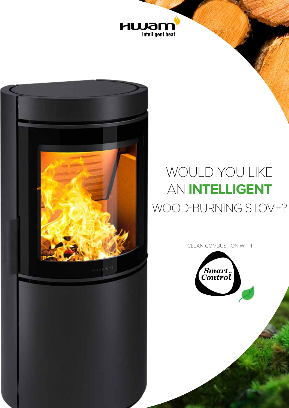



## WOULD YOU LIKE AN **INTELLIGENT** WOOD-BURNING STOVE?

CLEAN COMBUSTION WITH

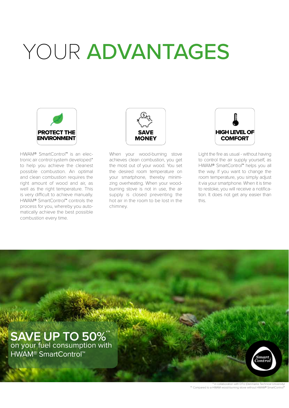## YOUR ADVANTAGES



HWAM® SmartControl™ is an electronic air control system developed\* to help you achieve the cleanest possible combustion. An optimal and clean combustion requires the right amount of wood and air, as well as the right temperature. This is very difficult to achieve manually. HWAM® SmartControl™ controls the process for you, whereby you automatically achieve the best possible combustion every time.



When your wood-burning stove achieves clean combustion, you get the most out of your wood. You set the desired room temperature on your smartphone, thereby minimizing overheating. When your woodburning stove is not in use, the air supply is closed preventing the hot air in the room to be lost in the chimney.



Light the fire as usual - without having to control the air supply yourself, as HWAM® SmartControl™ helps you all the way. If you want to change the room temperature, you simply adjust it via your smartphone. When it is time to restoke, you will receive a notification. It does not get any easier than this.

**SAVE UP TO 50%** on your fuel consumption with HWAM® SmartControl™ \*\*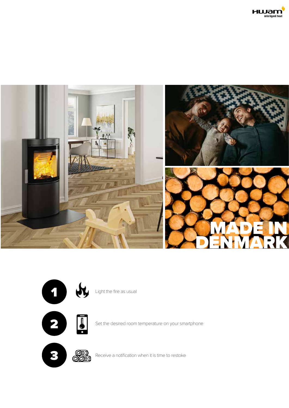





Light the fire as usual



Set the desired room temperature on your smartphone

2



Receive a notification when it is time to restoke